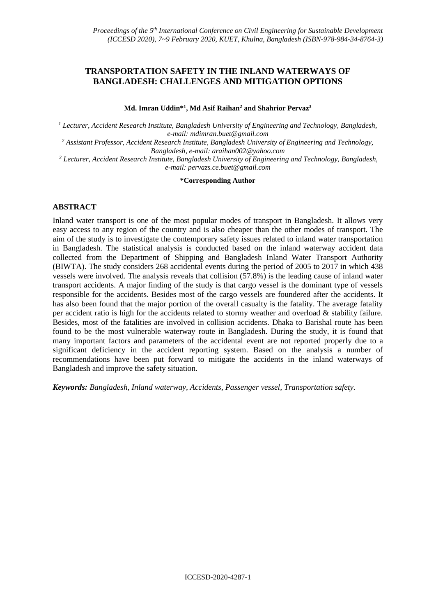# **TRANSPORTATION SAFETY IN THE INLAND WATERWAYS OF BANGLADESH: CHALLENGES AND MITIGATION OPTIONS**

**Md. Imran Uddin\* 1 , Md Asif Raihan<sup>2</sup> and Shahrior Pervaz<sup>3</sup>**

*<sup>1</sup> Lecturer, Accident Research Institute, Bangladesh University of Engineering and Technology, Bangladesh, e-mail: mdimran.buet@gmail.com*

*<sup>2</sup> Assistant Professor, Accident Research Institute, Bangladesh University of Engineering and Technology, Bangladesh, e-mail: araihan002@yahoo.com*

*<sup>3</sup> Lecturer, Accident Research Institute, Bangladesh University of Engineering and Technology, Bangladesh, e-mail: [pervazs.ce.buet@gmail.com](mailto:pervazs.ce.buet@gmail.com)*

#### **\*Corresponding Author**

#### **ABSTRACT**

Inland water transport is one of the most popular modes of transport in Bangladesh. It allows very easy access to any region of the country and is also cheaper than the other modes of transport. The aim of the study is to investigate the contemporary safety issues related to inland water transportation in Bangladesh. The statistical analysis is conducted based on the inland waterway accident data collected from the Department of Shipping and Bangladesh Inland Water Transport Authority (BIWTA). The study considers 268 accidental events during the period of 2005 to 2017 in which 438 vessels were involved. The analysis reveals that collision (57.8%) is the leading cause of inland water transport accidents. A major finding of the study is that cargo vessel is the dominant type of vessels responsible for the accidents. Besides most of the cargo vessels are foundered after the accidents. It has also been found that the major portion of the overall casualty is the fatality. The average fatality per accident ratio is high for the accidents related to stormy weather and overload & stability failure. Besides, most of the fatalities are involved in collision accidents. Dhaka to Barishal route has been found to be the most vulnerable waterway route in Bangladesh. During the study, it is found that many important factors and parameters of the accidental event are not reported properly due to a significant deficiency in the accident reporting system. Based on the analysis a number of recommendations have been put forward to mitigate the accidents in the inland waterways of Bangladesh and improve the safety situation.

*Keywords: Bangladesh, Inland waterway, Accidents, Passenger vessel, Transportation safety.*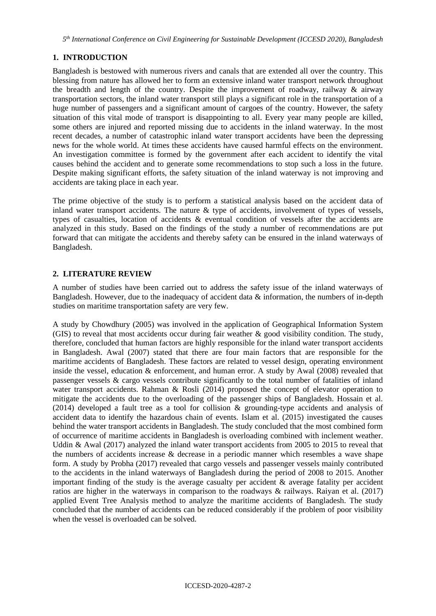*5 th International Conference on Civil Engineering for Sustainable Development (ICCESD 2020), Bangladesh*

# **1. INTRODUCTION**

Bangladesh is bestowed with numerous rivers and canals that are extended all over the country. This blessing from nature has allowed her to form an extensive inland water transport network throughout the breadth and length of the country. Despite the improvement of roadway, railway & airway transportation sectors, the inland water transport still plays a significant role in the transportation of a huge number of passengers and a significant amount of cargoes of the country. However, the safety situation of this vital mode of transport is disappointing to all. Every year many people are killed, some others are injured and reported missing due to accidents in the inland waterway. In the most recent decades, a number of catastrophic inland water transport accidents have been the depressing news for the whole world. At times these accidents have caused harmful effects on the environment. An investigation committee is formed by the government after each accident to identify the vital causes behind the accident and to generate some recommendations to stop such a loss in the future. Despite making significant efforts, the safety situation of the inland waterway is not improving and accidents are taking place in each year.

The prime objective of the study is to perform a statistical analysis based on the accident data of inland water transport accidents. The nature & type of accidents, involvement of types of vessels, types of casualties, location of accidents & eventual condition of vessels after the accidents are analyzed in this study. Based on the findings of the study a number of recommendations are put forward that can mitigate the accidents and thereby safety can be ensured in the inland waterways of Bangladesh.

# **2. LITERATURE REVIEW**

A number of studies have been carried out to address the safety issue of the inland waterways of Bangladesh. However, due to the inadequacy of accident data & information, the numbers of in-depth studies on maritime transportation safety are very few.

A study by Chowdhury (2005) was involved in the application of Geographical Information System (GIS) to reveal that most accidents occur during fair weather & good visibility condition. The study, therefore, concluded that human factors are highly responsible for the inland water transport accidents in Bangladesh. Awal (2007) stated that there are four main factors that are responsible for the maritime accidents of Bangladesh. These factors are related to vessel design, operating environment inside the vessel, education & enforcement, and human error. A study by Awal (2008) revealed that passenger vessels & cargo vessels contribute significantly to the total number of fatalities of inland water transport accidents. Rahman & Rosli (2014) proposed the concept of elevator operation to mitigate the accidents due to the overloading of the passenger ships of Bangladesh. Hossain et al. (2014) developed a fault tree as a tool for collision & grounding-type accidents and analysis of accident data to identify the hazardous chain of events. Islam et al. (2015) investigated the causes behind the water transport accidents in Bangladesh. The study concluded that the most combined form of occurrence of maritime accidents in Bangladesh is overloading combined with inclement weather. Uddin & Awal (2017) analyzed the inland water transport accidents from 2005 to 2015 to reveal that the numbers of accidents increase & decrease in a periodic manner which resembles a wave shape form. A study by Probha (2017) revealed that cargo vessels and passenger vessels mainly contributed to the accidents in the inland waterways of Bangladesh during the period of 2008 to 2015. Another important finding of the study is the average casualty per accident  $\&$  average fatality per accident ratios are higher in the waterways in comparison to the roadways & railways. Raiyan et al. (2017) applied Event Tree Analysis method to analyze the maritime accidents of Bangladesh. The study concluded that the number of accidents can be reduced considerably if the problem of poor visibility when the vessel is overloaded can be solved.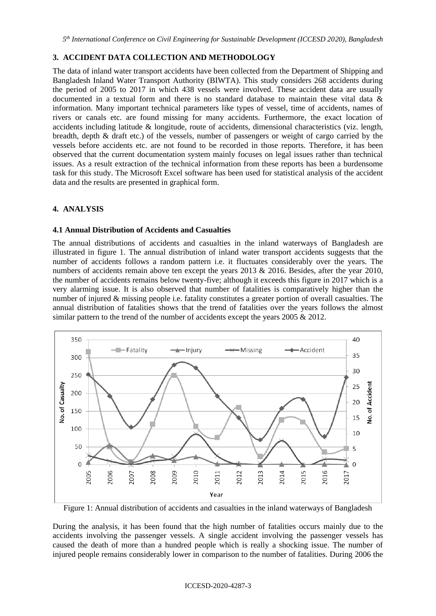# **3. ACCIDENT DATA COLLECTION AND METHODOLOGY**

The data of inland water transport accidents have been collected from the Department of Shipping and Bangladesh Inland Water Transport Authority (BIWTA). This study considers 268 accidents during the period of 2005 to 2017 in which 438 vessels were involved. These accident data are usually documented in a textual form and there is no standard database to maintain these vital data & information. Many important technical parameters like types of vessel, time of accidents, names of rivers or canals etc. are found missing for many accidents. Furthermore, the exact location of accidents including latitude & longitude, route of accidents, dimensional characteristics (viz. length, breadth, depth & draft etc.) of the vessels, number of passengers or weight of cargo carried by the vessels before accidents etc. are not found to be recorded in those reports. Therefore, it has been observed that the current documentation system mainly focuses on legal issues rather than technical issues. As a result extraction of the technical information from these reports has been a burdensome task for this study. The Microsoft Excel software has been used for statistical analysis of the accident data and the results are presented in graphical form.

#### **4. ANALYSIS**

#### **4.1 Annual Distribution of Accidents and Casualties**

The annual distributions of accidents and casualties in the inland waterways of Bangladesh are illustrated in figure 1. The annual distribution of inland water transport accidents suggests that the number of accidents follows a random pattern i.e. it fluctuates considerably over the years. The numbers of accidents remain above ten except the years 2013 & 2016. Besides, after the year 2010, the number of accidents remains below twenty-five; although it exceeds this figure in 2017 which is a very alarming issue. It is also observed that number of fatalities is comparatively higher than the number of injured & missing people i.e. fatality constitutes a greater portion of overall casualties. The annual distribution of fatalities shows that the trend of fatalities over the years follows the almost similar pattern to the trend of the number of accidents except the years 2005 & 2012.



Figure 1: Annual distribution of accidents and casualties in the inland waterways of Bangladesh

During the analysis, it has been found that the high number of fatalities occurs mainly due to the accidents involving the passenger vessels. A single accident involving the passenger vessels has caused the death of more than a hundred people which is really a shocking issue. The number of injured people remains considerably lower in comparison to the number of fatalities. During 2006 the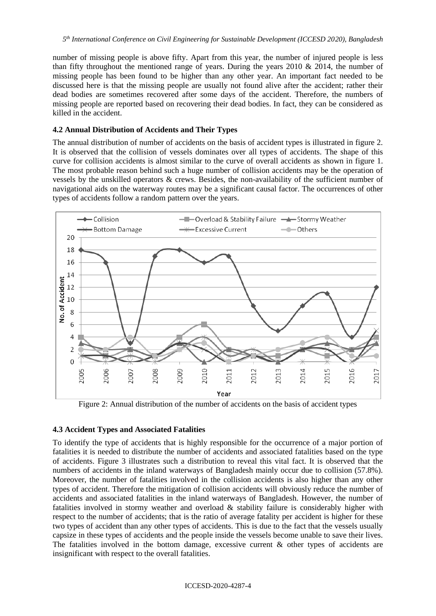number of missing people is above fifty. Apart from this year, the number of injured people is less than fifty throughout the mentioned range of years. During the years  $2010 \& 2014$ , the number of missing people has been found to be higher than any other year. An important fact needed to be discussed here is that the missing people are usually not found alive after the accident; rather their dead bodies are sometimes recovered after some days of the accident. Therefore, the numbers of missing people are reported based on recovering their dead bodies. In fact, they can be considered as killed in the accident.

### **4.2 Annual Distribution of Accidents and Their Types**

The annual distribution of number of accidents on the basis of accident types is illustrated in figure 2. It is observed that the collision of vessels dominates over all types of accidents. The shape of this curve for collision accidents is almost similar to the curve of overall accidents as shown in figure 1. The most probable reason behind such a huge number of collision accidents may be the operation of vessels by the unskilled operators & crews. Besides, the non-availability of the sufficient number of navigational aids on the waterway routes may be a significant causal factor. The occurrences of other types of accidents follow a random pattern over the years.



Figure 2: Annual distribution of the number of accidents on the basis of accident types

# **4.3 Accident Types and Associated Fatalities**

To identify the type of accidents that is highly responsible for the occurrence of a major portion of fatalities it is needed to distribute the number of accidents and associated fatalities based on the type of accidents. Figure 3 illustrates such a distribution to reveal this vital fact. It is observed that the numbers of accidents in the inland waterways of Bangladesh mainly occur due to collision (57.8%). Moreover, the number of fatalities involved in the collision accidents is also higher than any other types of accident. Therefore the mitigation of collision accidents will obviously reduce the number of accidents and associated fatalities in the inland waterways of Bangladesh. However, the number of fatalities involved in stormy weather and overload & stability failure is considerably higher with respect to the number of accidents; that is the ratio of average fatality per accident is higher for these two types of accident than any other types of accidents. This is due to the fact that the vessels usually capsize in these types of accidents and the people inside the vessels become unable to save their lives. The fatalities involved in the bottom damage, excessive current  $\&$  other types of accidents are insignificant with respect to the overall fatalities.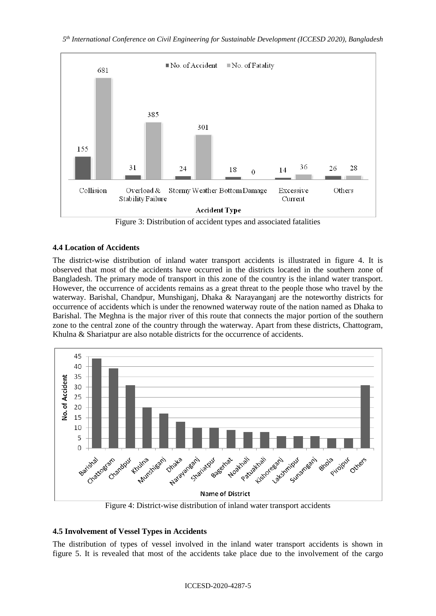

Figure 3: Distribution of accident types and associated fatalities

# **4.4 Location of Accidents**

The district-wise distribution of inland water transport accidents is illustrated in figure 4. It is observed that most of the accidents have occurred in the districts located in the southern zone of Bangladesh. The primary mode of transport in this zone of the country is the inland water transport. However, the occurrence of accidents remains as a great threat to the people those who travel by the waterway. Barishal, Chandpur, Munshiganj, Dhaka & Narayanganj are the noteworthy districts for occurrence of accidents which is under the renowned waterway route of the nation named as Dhaka to Barishal. The Meghna is the major river of this route that connects the major portion of the southern zone to the central zone of the country through the waterway. Apart from these districts, Chattogram, Khulna & Shariatpur are also notable districts for the occurrence of accidents.



Figure 4: District-wise distribution of inland water transport accidents

# **4.5 Involvement of Vessel Types in Accidents**

The distribution of types of vessel involved in the inland water transport accidents is shown in figure 5. It is revealed that most of the accidents take place due to the involvement of the cargo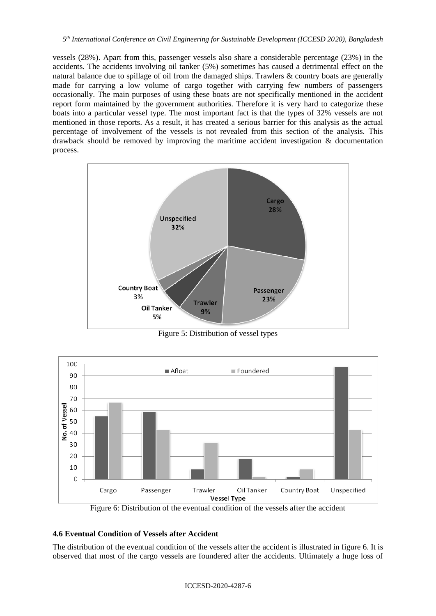vessels (28%). Apart from this, passenger vessels also share a considerable percentage (23%) in the accidents. The accidents involving oil tanker (5%) sometimes has caused a detrimental effect on the natural balance due to spillage of oil from the damaged ships. Trawlers & country boats are generally made for carrying a low volume of cargo together with carrying few numbers of passengers occasionally. The main purposes of using these boats are not specifically mentioned in the accident report form maintained by the government authorities. Therefore it is very hard to categorize these boats into a particular vessel type. The most important fact is that the types of 32% vessels are not mentioned in those reports. As a result, it has created a serious barrier for this analysis as the actual percentage of involvement of the vessels is not revealed from this section of the analysis. This drawback should be removed by improving the maritime accident investigation & documentation process.



Figure 5: Distribution of vessel types



Figure 6: Distribution of the eventual condition of the vessels after the accident

# **4.6 Eventual Condition of Vessels after Accident**

The distribution of the eventual condition of the vessels after the accident is illustrated in figure 6. It is observed that most of the cargo vessels are foundered after the accidents. Ultimately a huge loss of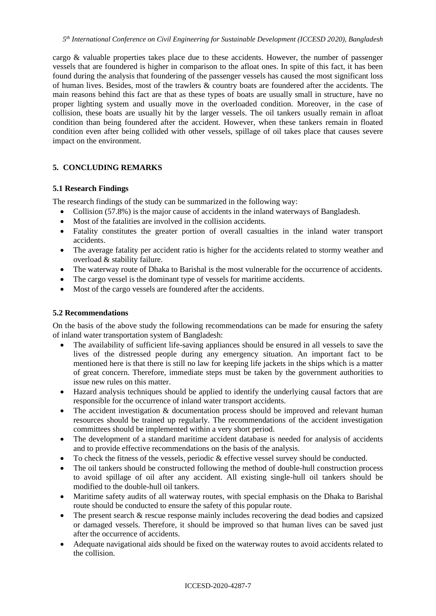cargo & valuable properties takes place due to these accidents. However, the number of passenger vessels that are foundered is higher in comparison to the afloat ones. In spite of this fact, it has been found during the analysis that foundering of the passenger vessels has caused the most significant loss of human lives. Besides, most of the trawlers & country boats are foundered after the accidents. The main reasons behind this fact are that as these types of boats are usually small in structure, have no proper lighting system and usually move in the overloaded condition. Moreover, in the case of collision, these boats are usually hit by the larger vessels. The oil tankers usually remain in afloat condition than being foundered after the accident. However, when these tankers remain in floated condition even after being collided with other vessels, spillage of oil takes place that causes severe impact on the environment.

# **5. CONCLUDING REMARKS**

#### **5.1 Research Findings**

The research findings of the study can be summarized in the following way:

- Collision (57.8%) is the major cause of accidents in the inland waterways of Bangladesh.
- Most of the fatalities are involved in the collision accidents.
- Fatality constitutes the greater portion of overall casualties in the inland water transport accidents.
- The average fatality per accident ratio is higher for the accidents related to stormy weather and overload & stability failure.
- The waterway route of Dhaka to Barishal is the most vulnerable for the occurrence of accidents.
- The cargo vessel is the dominant type of vessels for maritime accidents.
- Most of the cargo vessels are foundered after the accidents.

### **5.2 Recommendations**

On the basis of the above study the following recommendations can be made for ensuring the safety of inland water transportation system of Bangladesh:

- The availability of sufficient life-saving appliances should be ensured in all vessels to save the lives of the distressed people during any emergency situation. An important fact to be mentioned here is that there is still no law for keeping life jackets in the ships which is a matter of great concern. Therefore, immediate steps must be taken by the government authorities to issue new rules on this matter.
- Hazard analysis techniques should be applied to identify the underlying causal factors that are responsible for the occurrence of inland water transport accidents.
- The accident investigation  $&$  documentation process should be improved and relevant human resources should be trained up regularly. The recommendations of the accident investigation committees should be implemented within a very short period.
- The development of a standard maritime accident database is needed for analysis of accidents and to provide effective recommendations on the basis of the analysis.
- To check the fitness of the vessels, periodic  $\&$  effective vessel survey should be conducted.
- The oil tankers should be constructed following the method of double-hull construction process to avoid spillage of oil after any accident. All existing single-hull oil tankers should be modified to the double-hull oil tankers.
- Maritime safety audits of all waterway routes, with special emphasis on the Dhaka to Barishal route should be conducted to ensure the safety of this popular route.
- The present search  $\&$  rescue response mainly includes recovering the dead bodies and capsized or damaged vessels. Therefore, it should be improved so that human lives can be saved just after the occurrence of accidents.
- Adequate navigational aids should be fixed on the waterway routes to avoid accidents related to the collision.